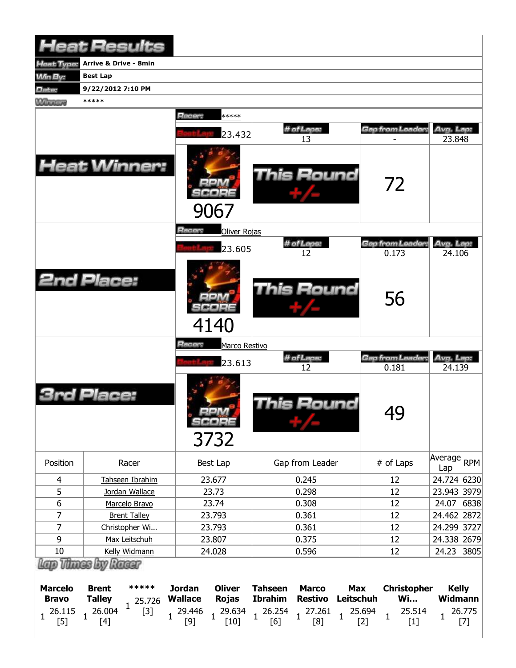| <b>Heat Results</b>                           |                                                         |                          |                                           |                                         |                                            |                                                |                                                |                        |                                           |                              |        |
|-----------------------------------------------|---------------------------------------------------------|--------------------------|-------------------------------------------|-----------------------------------------|--------------------------------------------|------------------------------------------------|------------------------------------------------|------------------------|-------------------------------------------|------------------------------|--------|
| leat Type:                                    | <b>Arrive &amp; Drive - 8min</b>                        |                          |                                           |                                         |                                            |                                                |                                                |                        |                                           |                              |        |
| <b>Win By:</b>                                | <b>Best Lap</b>                                         |                          |                                           |                                         |                                            |                                                |                                                |                        |                                           |                              |        |
| <b>Date:</b>                                  | 9/22/2012 7:10 PM                                       |                          |                                           |                                         |                                            |                                                |                                                |                        |                                           |                              |        |
| <b>Winners</b>                                | *****                                                   |                          |                                           |                                         |                                            |                                                |                                                |                        |                                           |                              |        |
|                                               |                                                         |                          | Racer:                                    | *****                                   |                                            |                                                |                                                |                        |                                           |                              |        |
|                                               |                                                         |                          |                                           | 23.432                                  |                                            | # of Laps:                                     |                                                |                        | Gap from Leader:                          | Avg. Lap:                    |        |
|                                               |                                                         |                          |                                           |                                         |                                            | 13                                             |                                                |                        |                                           | 23.848                       |        |
| <b>Heat Winner:</b>                           |                                                         |                          |                                           | 9067                                    |                                            | This Round                                     |                                                |                        | 72                                        |                              |        |
|                                               |                                                         |                          | Racer:                                    | Oliver Rojas                            |                                            |                                                |                                                |                        |                                           |                              |        |
|                                               |                                                         |                          |                                           | 23.605                                  |                                            | # of Laps:<br>12                               |                                                |                        | Gap from Leader:<br>0.173                 | Avg. Lap:<br>24.106          |        |
| <b>2nd Place:</b>                             |                                                         |                          |                                           | 4140                                    |                                            | <b>This Round</b>                              |                                                |                        | 56                                        |                              |        |
|                                               |                                                         |                          | Racer:                                    | Marco Restivo                           |                                            |                                                |                                                |                        |                                           |                              |        |
|                                               |                                                         |                          |                                           | 23.613                                  |                                            | # of Laps:<br>12                               |                                                |                        | Gap from Leader:<br>0.181                 | Avg. Lap:<br>24.139          |        |
|                                               | Place:                                                  |                          |                                           | $=1.4$<br>SCORE<br>3732                 |                                            | <b>This Round</b>                              |                                                |                        | 49                                        |                              |        |
| Position                                      | Racer                                                   |                          |                                           | Best Lap                                |                                            | Gap from Leader                                |                                                |                        | # of Laps                                 | Average<br>Lap               | RPM    |
| $\overline{4}$                                | Tahseen Ibrahim                                         |                          |                                           | 23.677                                  |                                            | 0.245                                          |                                                |                        | 12                                        | 24.724 6230                  |        |
| 5                                             | Jordan Wallace                                          |                          |                                           | 23.73                                   |                                            | 0.298                                          |                                                | 12                     |                                           | 23.943 3979                  |        |
| $\boldsymbol{6}$                              | Marcelo Bravo                                           |                          |                                           | 23.74                                   |                                            | 0.308                                          |                                                | 12                     |                                           | 24.07                        | 6838   |
| 7                                             | <b>Brent Talley</b>                                     |                          |                                           | 23.793                                  |                                            | 0.361                                          |                                                | 12                     |                                           | 24.462 2872                  |        |
| 7                                             | Christopher Wi                                          |                          |                                           | 23.793                                  |                                            | 0.361                                          |                                                | 12                     |                                           | 24.299 3727                  |        |
| 9                                             | Max Leitschuh<br>Kelly Widmann                          |                          |                                           | 23.807                                  |                                            | 0.375                                          |                                                |                        | 12                                        | 24.338 2679                  |        |
| 10<br>Lap Thass by Racer                      |                                                         |                          |                                           | 24.028                                  |                                            | 0.596                                          |                                                |                        | 12                                        | 24.23                        | 3805   |
| <b>Marcelo</b><br><b>Bravo</b><br>26.115<br>1 | <b>Brent</b><br><b>Talley</b><br>26.004<br>$\mathbf{1}$ | *****<br>25.726<br>$[3]$ | <b>Jordan</b><br><b>Wallace</b><br>29.446 | <b>Oliver</b><br><b>Rojas</b><br>29.634 | <b>Tahseen</b><br><b>Ibrahim</b><br>26.254 | <b>Marco</b><br><b>Restivo</b><br>$1^{27.261}$ | <b>Max</b><br><b>Leitschuh</b><br>$\mathbf{1}$ | 25.694<br>$\mathbf{1}$ | <b>Christopher</b><br><b>Wi</b><br>25.514 | <b>Kelly</b><br>Widmann<br>1 | 26.775 |
| $[5]$                                         | $[4]$                                                   |                          | $[9]$                                     | $[10]$                                  | [6]                                        | [8]                                            |                                                | $[2]$                  | $[1]$                                     |                              | $[7]$  |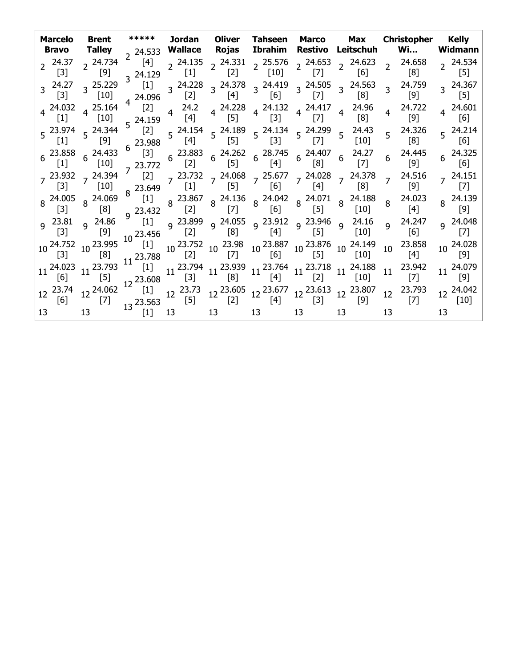| Marcelo<br>Bravo                  | <b>Brent</b><br>Talley                                       | *****                             | Jordan                                                                                                                               | <b>Oliver</b><br>Rojas | <b>Tahseen Marco</b>                                                                                                                                                                                       |             | <b>Max</b><br>Ibrahim Restivo Leitschuh                                                                                                                                                                                                                      | Christopher<br>Wi                 | <b>Kelly</b><br>Widmann           |
|-----------------------------------|--------------------------------------------------------------|-----------------------------------|--------------------------------------------------------------------------------------------------------------------------------------|------------------------|------------------------------------------------------------------------------------------------------------------------------------------------------------------------------------------------------------|-------------|--------------------------------------------------------------------------------------------------------------------------------------------------------------------------------------------------------------------------------------------------------------|-----------------------------------|-----------------------------------|
| 24.37<br>$[3]$                    | 2 24.734<br>$[9]$                                            | [4]<br>$3^{24.129}$ <sup>2</sup>  | 2 24.533 <b>Wallace</b><br>$2^{24.135}$<br>$[1]$                                                                                     | $[2]$                  | [10]                                                                                                                                                                                                       | [7]         | $2^{24.331}$ $2^{25.576}$ $2^{24.653}$ $2^{24.623}$<br>[6]                                                                                                                                                                                                   | $2^{24.658}$<br>[8]               | 2 24.534<br>[5]                   |
| $3^{24.27}$<br>$[3]$              | $3^{25.229}$<br>$[10]$                                       | $\left[1\right]$<br>$4^{24.096}$  | $3^{24.228}$<br>$[2]$                                                                                                                | [4]                    | $3\frac{24.378}{53}$ $3\frac{24.419}{53}$<br>[6]                                                                                                                                                           | [7]         | $3\frac{24.505}{5}$ $3\frac{24.563}{5}$<br>[8]                                                                                                                                                                                                               | 24.759<br>3 <sup>1</sup><br>[9]   | 3 24.367<br>[5]                   |
| $4^{24.032}$<br>$\lceil 1 \rceil$ | $4^{25.164}$<br>$[10]$                                       | [2]<br>$5^{24.159}$               | $4\frac{24.2}{1}$<br>[4]                                                                                                             |                        | 4  24.228  4  24.132  4  24.417  4  24.96<br>[5]  13]  [7]  4  24.96                                                                                                                                       |             |                                                                                                                                                                                                                                                              | 24.722<br>4 <sup>1</sup><br>[9]   | 4 24.601<br>[6]                   |
| 5 23.974<br>$[1]$                 | $5^{24.344}$<br>[9]                                          | [2]<br>$6^{23.988}$               | $5^{24.154}$<br>[4]                                                                                                                  |                        |                                                                                                                                                                                                            |             | 5  24.189  5  24.134  5  24.299  5  24.43<br>[5]  5  [3]  5  [7]  [10]                                                                                                                                                                                       | $5\quad 24.326$<br>[8]            | $5^{24.214}$<br>[6]               |
| $6^{23.858}$<br>$[1]$             | $6^{24.433}$<br>[10]                                         | $[3]$<br>$_7$ 23.772              |                                                                                                                                      |                        | $\begin{array}{ccccccccc} 6 & 23.883 & 6 & 24.262 & 6 & 28.745 & 6 & 24.407 & 6 & 24.27 \\ \left[2\right] & & & \left[5\right] & & & \left[4\right] & & & \left[8\right] & & & \left[7\right] \end{array}$ |             |                                                                                                                                                                                                                                                              | 24.445<br>$6\overline{6}$<br>[9]  | $6^{24.325}$<br>$\lceil 6 \rceil$ |
| $[3]$                             | $7^{23.932}$ $7^{24.394}$<br>[10]                            | [2]<br>$8^{23.649}$               | $[1]$                                                                                                                                | $\left(5\right)$       |                                                                                                                                                                                                            | $[6]$ $[4]$ | $7\frac{23.732}{51}$ $7\frac{24.068}{51}$ $7\frac{25.677}{51}$ $7\frac{24.028}{51}$ $7\frac{24.378}{51}$<br>[8]                                                                                                                                              | $7^{24.516}$<br>$\lceil 9 \rceil$ | $7^{24.151}$<br>$\lceil 7 \rceil$ |
| $[3]$                             | $8\begin{array}{l} 24.005 \\ 52 \end{array}$ 8 24.069<br>[8] | $\begin{bmatrix} 1 \end{bmatrix}$ | $9^{23.432}$ [2]                                                                                                                     | [7]                    |                                                                                                                                                                                                            | $[6]$ $[5]$ | $8\begin{array}{c ccccc}\n 23.867 & 8 & 24.136 \\ 6 & 121 & 8 & 24.042 \\ 121 & 8 & 161 & 8 \\ 131 & 8 & 161 & 8 \\ 141 & 8 & 161 & 8\n\end{array}$<br>[10]                                                                                                  | $8^{24.023}$<br>$\lceil 4 \rceil$ | 8 24.139<br>[9]                   |
| $9^{23.81}$<br>$\lceil 3 \rceil$  |                                                              | $9\frac{24.86}{100}$ [1]          | 9 <sup>23.699</sup><br>10 <sup>23.995</sup> <sup>9 23.699</sup><br>10 <sup>23.995</sup> <sup>10</sup> <sup>23.456</sup> <sup>9</sup> | [8]                    |                                                                                                                                                                                                            | $[4]$ (5]   | 9 23.899 9 24.055 9 23.912 9 23.946 9 24.16<br>[10]                                                                                                                                                                                                          | 9 24.247<br>[6]                   | 9 24.048<br>$[7]$                 |
| 10 24.752<br>$[3]$                | $\lceil 8 \rceil$                                            |                                   |                                                                                                                                      |                        |                                                                                                                                                                                                            |             | <sup>1</sup> [1] 10 <sup>23.752</sup> 10 <sup>23.98</sup> 10 <sup>23.887</sup> 10 <sup>23.876</sup> 10 <sup>24.149</sup><br>11 <sup>23.788</sup> <sup>[2]</sup> <sup>[2]</sup> <sup>[7]</sup> 10 <sup>23.887</sup> 10 <sup>23.876</sup> 10 <sup>24.149</sup> | 23.858<br>$10-10$<br>[4]          | 10 24.028<br>[9]                  |
| 11 24.023<br>[6]                  | 11 23.793                                                    | $[1]$                             | $1 + [3]$                                                                                                                            |                        |                                                                                                                                                                                                            |             | $11 \begin{array}{c c c c c c} 23.794 & 11 & 23.939 & 11 & 23.764 & 11 & 23.718 & 11 & 24.188 \\ \hline [3] & & [8] & & [4] & & [2] & & [10] & \end{array}$                                                                                                  | 23.942<br>11<br>$[7]$             | 11 24.079<br>[9]                  |
| 12 23.74<br>[6]                   | $12\frac{24.062}{r^{-1}}$ $12\frac{23.608}{r^{11}}$<br>$[7]$ | $13^{23.563}$                     | $12^{23.73}$<br>$[5]$                                                                                                                |                        | 12 <sup>23.605</sup> 12 <sup>23.677</sup><br>[2] <sup>12</sup> [4]                                                                                                                                         |             | 12 <sup>23.613</sup> 12 <sup>23.807</sup><br>[3] 12 [9]                                                                                                                                                                                                      | 23.793<br>12<br>$[7]$             | 12 24.042<br>[10]                 |
| 13                                | 13                                                           | $[1]$                             | 13                                                                                                                                   | 13                     | 13                                                                                                                                                                                                         | 13          | 13                                                                                                                                                                                                                                                           | 13                                | 13                                |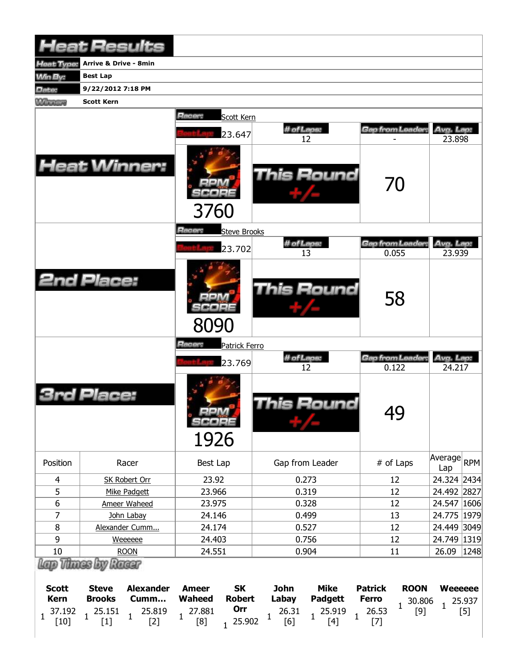|                                                      | <b>Heat Results</b>                                                                                                                                                          |                                                                                                                    |                                                                                                                               |                                                                                                    |                                                   |
|------------------------------------------------------|------------------------------------------------------------------------------------------------------------------------------------------------------------------------------|--------------------------------------------------------------------------------------------------------------------|-------------------------------------------------------------------------------------------------------------------------------|----------------------------------------------------------------------------------------------------|---------------------------------------------------|
| <b>Heat Type:</b>                                    | <b>Arrive &amp; Drive - 8min</b>                                                                                                                                             |                                                                                                                    |                                                                                                                               |                                                                                                    |                                                   |
| <b>Min By:</b>                                       | <b>Best Lap</b>                                                                                                                                                              |                                                                                                                    |                                                                                                                               |                                                                                                    |                                                   |
| Date:                                                | 9/22/2012 7:18 PM                                                                                                                                                            |                                                                                                                    |                                                                                                                               |                                                                                                    |                                                   |
| <b>MARGARY</b>                                       | <b>Scott Kern</b>                                                                                                                                                            |                                                                                                                    |                                                                                                                               |                                                                                                    |                                                   |
|                                                      |                                                                                                                                                                              | Racer:<br>Scott Kern                                                                                               |                                                                                                                               |                                                                                                    |                                                   |
|                                                      |                                                                                                                                                                              |                                                                                                                    | # of Laps:                                                                                                                    | Gap from Leader:                                                                                   | Avg. Lap:                                         |
|                                                      |                                                                                                                                                                              | 23.647                                                                                                             | 12                                                                                                                            |                                                                                                    | 23.898                                            |
|                                                      | <b>Heat Winner:</b>                                                                                                                                                          | 3760                                                                                                               | <b>This Round</b>                                                                                                             | 70                                                                                                 |                                                   |
|                                                      |                                                                                                                                                                              | Racer:<br><b>Steve Brooks</b>                                                                                      |                                                                                                                               |                                                                                                    |                                                   |
|                                                      |                                                                                                                                                                              | 23.702                                                                                                             | # of Laps:<br>13                                                                                                              | Gap from Leader:<br>0.055                                                                          | Avg. Lap:<br>23.939                               |
|                                                      | <b>2nd Place:</b>                                                                                                                                                            | 8090                                                                                                               | <b>This Round</b>                                                                                                             | 58                                                                                                 |                                                   |
|                                                      |                                                                                                                                                                              | Racer:<br><b>Patrick Ferro</b>                                                                                     |                                                                                                                               |                                                                                                    |                                                   |
|                                                      |                                                                                                                                                                              |                                                                                                                    | # of Laps:                                                                                                                    | Gap from Leader:                                                                                   | Avg. Lap:                                         |
|                                                      |                                                                                                                                                                              | 23.769                                                                                                             | 12                                                                                                                            | 0.122                                                                                              | 24.217                                            |
|                                                      | Place:                                                                                                                                                                       | $=$ $ \sqrt{2}$<br>SCORE<br>1926                                                                                   | This Round                                                                                                                    | 49                                                                                                 |                                                   |
| Position                                             | Racer                                                                                                                                                                        | Best Lap                                                                                                           | Gap from Leader                                                                                                               | # of Laps                                                                                          | Average<br><b>RPM</b><br>Lap                      |
| $\overline{4}$                                       | <b>SK Robert Orr</b>                                                                                                                                                         | 23.92                                                                                                              | 0.273                                                                                                                         | 12                                                                                                 | 24.324 2434                                       |
| 5                                                    | Mike Padgett                                                                                                                                                                 | 23.966                                                                                                             | 0.319                                                                                                                         | 12                                                                                                 | 24.492 2827                                       |
| 6                                                    | Ameer Waheed                                                                                                                                                                 | 23.975                                                                                                             | 0.328                                                                                                                         | 12                                                                                                 | 24.547 1606                                       |
| $\overline{7}$                                       | John Labay                                                                                                                                                                   | 24.146                                                                                                             | 0.499                                                                                                                         | 13                                                                                                 | 24.775 1979                                       |
| 8                                                    | Alexander Cumm                                                                                                                                                               | 24.174                                                                                                             | 0.527                                                                                                                         | 12                                                                                                 | 24.449<br> 3049                                   |
| 9                                                    | Weeeeee                                                                                                                                                                      | 24.403                                                                                                             | 0.756                                                                                                                         | 12                                                                                                 | 24.749 1319                                       |
| 10                                                   | <b>ROON</b>                                                                                                                                                                  | 24.551                                                                                                             | 0.904                                                                                                                         | 11                                                                                                 | 26.09<br>1248                                     |
| <b>Scott</b><br><b>Kern</b><br>37.192<br>1<br>$[10]$ | Lap Thass by Rassr<br><b>Steve</b><br><b>Alexander</b><br><b>Brooks</b><br>Cumm<br>25.151<br>25.819<br>$\mathbf{1}% \in\mathbb{Z}_{+}^{d}[z,\bar{z}]$<br>1<br>$[1]$<br>$[2]$ | <b>SK</b><br><b>Ameer</b><br><b>Robert</b><br><b>Waheed</b><br>Orr<br>27.881<br>1<br>25.902<br>[8]<br>$\mathbf{1}$ | <b>Mike</b><br><b>John</b><br>Labay<br><b>Padgett</b><br>26.31<br>25.919<br>$\mathbf{1}$<br>$\mathbf{1}$<br>1<br>[6]<br>$[4]$ | <b>Patrick</b><br><b>ROON</b><br><b>Ferro</b><br>30.806<br>$\mathbf{1}$<br>26.53<br>$[9]$<br>$[7]$ | <b>Weeeeee</b><br>25.937<br>$\mathbf{1}$<br>$[5]$ |